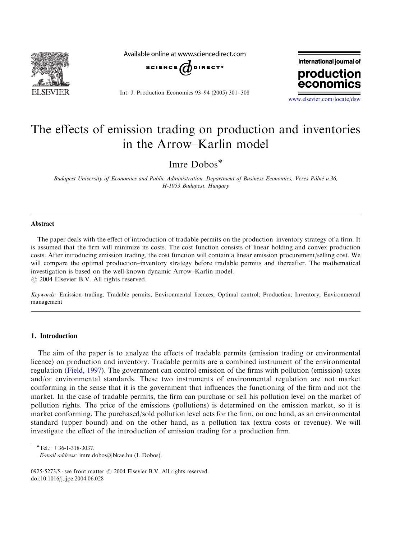

Available online at www.sciencedirect.com



Int. J. Production Economics 93–94 (2005) 301–308



<www.elsevier.com/locate/dsw>

## The effects of emission trading on production and inventories in the Arrow–Karlin model

Imre Dobos

Budapest University of Economics and Public Administration, Department of Business Economics, Veres Pálné u.36, H-1053 Budapest, Hungary

### Abstract

The paper deals with the effect of introduction of tradable permits on the production–inventory strategy of a firm. It is assumed that the firm will minimize its costs. The cost function consists of linear holdingand convex production costs. After introducing emission trading, the cost function will contain a linear emission procurement/selling cost. We will compare the optimal production–inventory strategy before tradable permits and thereafter. The mathematical investigation is based on the well-known dynamic Arrow–Karlin model.  $\odot$  2004 Elsevier B.V. All rights reserved.

Keywords: Emission trading; Tradable permits; Environmental licences; Optimal control; Production; Inventory; Environmental management

## 1. Introduction

The aim of the paper is to analyze the effects of tradable permits (emission trading or environmental licence) on production and inventory. Tradable permits are a combined instrument of the environmental regulation [\(Field, 1997\)](#page--1-0). The government can control emission of the firms with pollution (emission) taxes and/or environmental standards. These two instruments of environmental regulation are not market conforming in the sense that it is the government that influences the functioning of the firm and not the market. In the case of tradable permits, the firm can purchase or sell his pollution level on the market of pollution rights. The price of the emissions (pollutions) is determined on the emission market, so it is market conforming. The purchased/sold pollution level acts for the firm, on one hand, as an environmental standard (upper bound) and on the other hand, as a pollution tax (extra costs or revenue). We will investigate the effect of the introduction of emission trading for a production firm.

 $*$ Tel.: +36-1-318-3037.

E-mail address: imre.dobos@bkae.hu (I. Dobos).

<sup>0925-5273/\$ -</sup> see front matter  $\odot$  2004 Elsevier B.V. All rights reserved. doi:10.1016/j.ijpe.2004.06.028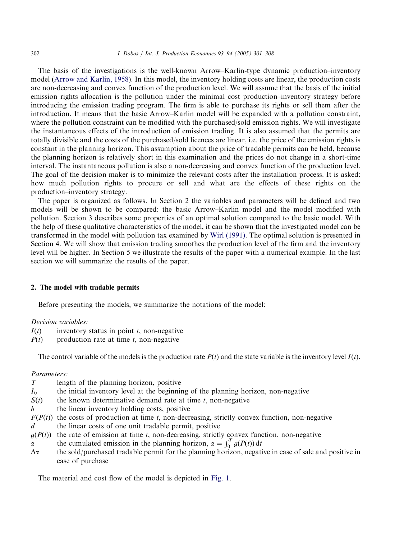The basis of the investigations is the well-known Arrow–Karlin-type dynamic production–inventory model ([Arrow and Karlin, 1958](#page--1-0)). In this model, the inventory holding costs are linear, the production costs are non-decreasingand convex function of the production level. We will assume that the basis of the initial emission rights allocation is the pollution under the minimal cost production–inventory strategy before introducing the emission trading program. The firm is able to purchase its rights or sell them after the introduction. It means that the basic Arrow–Karlin model will be expanded with a pollution constraint, where the pollution constraint can be modified with the purchased/sold emission rights. We will investigate the instantaneous effects of the introduction of emission trading. It is also assumed that the permits are totally divisible and the costs of the purchased/sold licences are linear, i.e. the price of the emission rights is constant in the planning horizon. This assumption about the price of tradable permits can be held, because the planning horizon is relatively short in this examination and the prices do not change in a short-time interval. The instantaneous pollution is also a non-decreasingand convex function of the production level. The goal of the decision maker is to minimize the relevant costs after the installation process. It is asked: how much pollution rights to procure or sell and what are the effects of these rights on the production–inventory strategy.

The paper is organized as follows. In Section 2 the variables and parameters will be defined and two models will be shown to be compared: the basic Arrow–Karlin model and the model modified with pollution. Section 3 describes some properties of an optimal solution compared to the basic model. With the help of these qualitative characteristics of the model, it can be shown that the investigated model can be transformed in the model with pollution tax examined by [Wirl \(1991\)](#page--1-0). The optimal solution is presented in Section 4. We will show that emission trading smoothes the production level of the firm and the inventory level will be higher. In Section 5 we illustrate the results of the paper with a numerical example. In the last section we will summarize the results of the paper.

#### 2. The model with tradable permits

Before presenting the models, we summarize the notations of the model:

### Decision variables:

- $I(t)$  inventory status in point t, non-negative
- $P(t)$  production rate at time t, non-negative

The control variable of the models is the production rate  $P(t)$  and the state variable is the inventory level  $I(t)$ .

## Parameters:

| T                | length of the planning horizon, positive                                                              |
|------------------|-------------------------------------------------------------------------------------------------------|
|                  |                                                                                                       |
| $I_0$            | the initial inventory level at the beginning of the planning horizon, non-negative                    |
| S(t)             | the known determinative demand rate at time $t$ , non-negative                                        |
| $\boldsymbol{h}$ | the linear inventory holding costs, positive                                                          |
|                  | $F(P(t))$ the costs of production at time t, non-decreasing, strictly convex function, non-negative   |
| $\overline{d}$   | the linear costs of one unit tradable permit, positive                                                |
| g(P(t))          | the rate of emission at time $t$ , non-decreasing, strictly convex function, non-negative             |
| $\alpha$         | the cumulated emission in the planning horizon, $\alpha = \int_0^T g(P(t)) dt$                        |
| $\Delta \alpha$  | the sold/purchased tradable permit for the planning horizon, negative in case of sale and positive in |
|                  | case of purchase                                                                                      |

The material and cost flow of the model is depicted in [Fig. 1](#page--1-0).